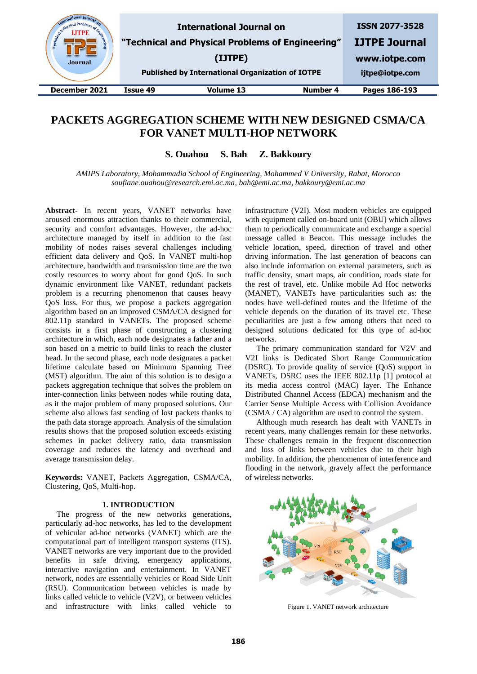| state Physical Pr<br>Engineer<br><b>Journal</b> |          | <b>International Journal on</b><br>"Technical and Physical Problems of Engineering"<br>(IJTPE)<br><b>Published by International Organization of IOTPE</b> |                 | <b>ISSN 2077-3528</b><br><b>IJTPE Journal</b><br>www.iotpe.com<br>ijtpe@iotpe.com |
|-------------------------------------------------|----------|-----------------------------------------------------------------------------------------------------------------------------------------------------------|-----------------|-----------------------------------------------------------------------------------|
| December 2021                                   | Issue 49 | <b>Volume 13</b>                                                                                                                                          | <b>Number 4</b> | Pages 186-193                                                                     |
|                                                 |          |                                                                                                                                                           |                 |                                                                                   |

# **PACKETS AGGREGATION SCHEME WITH NEW DESIGNED CSMA/CA FOR VANET MULTI-HOP NETWORK**

**S. Ouahou S. Bah Z. Bakkoury**

*AMIPS Laboratory, Mohammadia School of Engineering, Mohammed V University, Rabat, Morocco soufiane.ouahou@research.emi.ac.ma, bah@emi.ac.ma, bakkoury@emi.ac.ma*

**Abstract-** In recent years, VANET networks have aroused enormous attraction thanks to their commercial, security and comfort advantages. However, the ad-hoc architecture managed by itself in addition to the fast mobility of nodes raises several challenges including efficient data delivery and QoS. In VANET multi-hop architecture, bandwidth and transmission time are the two costly resources to worry about for good QoS. In such dynamic environment like VANET, redundant packets problem is a recurring phenomenon that causes heavy QoS loss. For thus, we propose a packets aggregation algorithm based on an improved CSMA/CA designed for 802.11p standard in VANETs. The proposed scheme consists in a first phase of constructing a clustering architecture in which, each node designates a father and a son based on a metric to build links to reach the cluster head. In the second phase, each node designates a packet lifetime calculate based on Minimum Spanning Tree (MST) algorithm. The aim of this solution is to design a packets aggregation technique that solves the problem on inter-connection links between nodes while routing data, as it the major problem of many proposed solutions. Our scheme also allows fast sending of lost packets thanks to the path data storage approach. Analysis of the simulation results shows that the proposed solution exceeds existing schemes in packet delivery ratio, data transmission coverage and reduces the latency and overhead and average transmission delay.

**Keywords:** VANET, Packets Aggregation, CSMA/CA, Clustering, QoS, Multi-hop.

## **1. INTRODUCTION**

The progress of the new networks generations, particularly ad-hoc networks, has led to the development of vehicular ad-hoc networks (VANET) which are the computational part of intelligent transport systems (ITS). VANET networks are very important due to the provided benefits in safe driving, emergency applications, interactive navigation and entertainment. In VANET network, nodes are essentially vehicles or Road Side Unit (RSU). Communication between vehicles is made by links called vehicle to vehicle (V2V), or between vehicles and infrastructure with links called vehicle to

infrastructure (V2I). Most modern vehicles are equipped with equipment called on-board unit (OBU) which allows them to periodically communicate and exchange a special message called a Beacon. This message includes the vehicle location, speed, direction of travel and other driving information. The last generation of beacons can also include information on external parameters, such as traffic density, smart maps, air condition, roads state for the rest of travel, etc. Unlike mobile Ad Hoc networks (MANET), VANETs have particularities such as: the nodes have well-defined routes and the lifetime of the vehicle depends on the duration of its travel etc. These peculiarities are just a few among others that need to designed solutions dedicated for this type of ad-hoc networks.

The primary communication standard for V2V and V2I links is Dedicated Short Range Communication (DSRC). To provide quality of service (QoS) support in VANETs, DSRC uses the IEEE 802.11p [1] protocol at its media access control (MAC) layer. The Enhance Distributed Channel Access (EDCA) mechanism and the Carrier Sense Multiple Access with Collision Avoidance (CSMA / CA) algorithm are used to control the system.

Although much research has dealt with VANETs in recent years, many challenges remain for these networks. These challenges remain in the frequent disconnection and loss of links between vehicles due to their high mobility. In addition, the phenomenon of interference and flooding in the network, gravely affect the performance of wireless networks.



Figure 1. VANET network architecture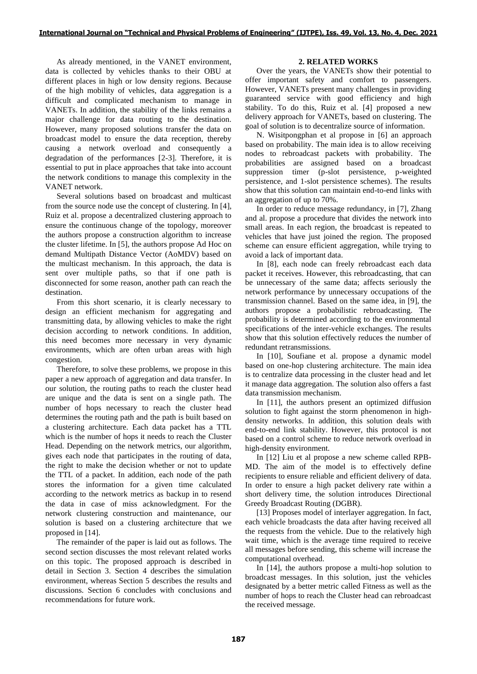As already mentioned, in the VANET environment, data is collected by vehicles thanks to their OBU at different places in high or low density regions. Because of the high mobility of vehicles, data aggregation is a difficult and complicated mechanism to manage in VANETs. In addition, the stability of the links remains a major challenge for data routing to the destination. However, many proposed solutions transfer the data on broadcast model to ensure the data reception, thereby causing a network overload and consequently a degradation of the performances [2-3]. Therefore, it is essential to put in place approaches that take into account the network conditions to manage this complexity in the VANET network.

Several solutions based on broadcast and multicast from the source node use the concept of clustering. In [4], Ruiz et al. propose a decentralized clustering approach to ensure the continuous change of the topology, moreover the authors propose a construction algorithm to increase the cluster lifetime. In [5], the authors propose Ad Hoc on demand Multipath Distance Vector (AoMDV) based on the multicast mechanism. In this approach, the data is sent over multiple paths, so that if one path is disconnected for some reason, another path can reach the destination.

From this short scenario, it is clearly necessary to design an efficient mechanism for aggregating and transmitting data, by allowing vehicles to make the right decision according to network conditions. In addition, this need becomes more necessary in very dynamic environments, which are often urban areas with high congestion.

Therefore, to solve these problems, we propose in this paper a new approach of aggregation and data transfer. In our solution, the routing paths to reach the cluster head are unique and the data is sent on a single path. The number of hops necessary to reach the cluster head determines the routing path and the path is built based on a clustering architecture. Each data packet has a TTL which is the number of hops it needs to reach the Cluster Head. Depending on the network metrics, our algorithm, gives each node that participates in the routing of data, the right to make the decision whether or not to update the TTL of a packet. In addition, each node of the path stores the information for a given time calculated according to the network metrics as backup in to resend the data in case of miss acknowledgment. For the network clustering construction and maintenance, our solution is based on a clustering architecture that we proposed in [14].

The remainder of the paper is laid out as follows. The second section discusses the most relevant related works on this topic. The proposed approach is described in detail in Section 3. Section 4 describes the simulation environment, whereas Section 5 describes the results and discussions. Section 6 concludes with conclusions and recommendations for future work.

# **2. RELATED WORKS**

Over the years, the VANETs show their potential to offer important safety and comfort to passengers. However, VANETs present many challenges in providing guaranteed service with good efficiency and high stability. To do this, Ruiz et al. [4] proposed a new delivery approach for VANETs, based on clustering. The goal of solution is to decentralize source of information.

N. Wisitpongphan et al propose in [6] an approach based on probability. The main idea is to allow receiving nodes to rebroadcast packets with probability. The probabilities are assigned based on a broadcast suppression timer (p-slot persistence, p-weighted persistence, and 1-slot persistence schemes). The results show that this solution can maintain end-to-end links with an aggregation of up to 70%.

In order to reduce message redundancy, in [7], Zhang and al. propose a procedure that divides the network into small areas. In each region, the broadcast is repeated to vehicles that have just joined the region. The proposed scheme can ensure efficient aggregation, while trying to avoid a lack of important data.

In [8], each node can freely rebroadcast each data packet it receives. However, this rebroadcasting, that can be unnecessary of the same data; affects seriously the network performance by unnecessary occupations of the transmission channel. Based on the same idea, in [9], the authors propose a probabilistic rebroadcasting. The probability is determined according to the environmental specifications of the inter-vehicle exchanges. The results show that this solution effectively reduces the number of redundant retransmissions.

In [10], Soufiane et al. propose a dynamic model based on one-hop clustering architecture. The main idea is to centralize data processing in the cluster head and let it manage data aggregation. The solution also offers a fast data transmission mechanism.

In [11], the authors present an optimized diffusion solution to fight against the storm phenomenon in highdensity networks. In addition, this solution deals with end-to-end link stability. However, this protocol is not based on a control scheme to reduce network overload in high-density environment.

In [12] Liu et al propose a new scheme called RPB-MD. The aim of the model is to effectively define recipients to ensure reliable and efficient delivery of data. In order to ensure a high packet delivery rate within a short delivery time, the solution introduces Directional Greedy Broadcast Routing (DGBR).

[13] Proposes model of interlayer aggregation. In fact, each vehicle broadcasts the data after having received all the requests from the vehicle. Due to the relatively high wait time, which is the average time required to receive all messages before sending, this scheme will increase the computational overhead.

In [14], the authors propose a multi-hop solution to broadcast messages. In this solution, just the vehicles designated by a better metric called Fitness as well as the number of hops to reach the Cluster head can rebroadcast the received message.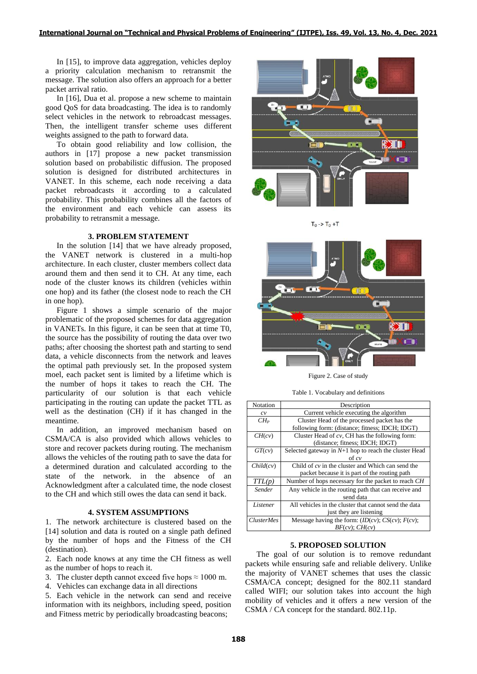In [15], to improve data aggregation, vehicles deploy a priority calculation mechanism to retransmit the message. The solution also offers an approach for a better packet arrival ratio.

In [16], Dua et al. propose a new scheme to maintain good QoS for data broadcasting. The idea is to randomly select vehicles in the network to rebroadcast messages. Then, the intelligent transfer scheme uses different weights assigned to the path to forward data.

To obtain good reliability and low collision, the authors in [17] propose a new packet transmission solution based on probabilistic diffusion. The proposed solution is designed for distributed architectures in VANET. In this scheme, each node receiving a data packet rebroadcasts it according to a calculated probability. This probability combines all the factors of the environment and each vehicle can assess its probability to retransmit a message.

# **3. PROBLEM STATEMENT**

In the solution [14] that we have already proposed, the VANET network is clustered in a multi-hop architecture. In each cluster, cluster members collect data around them and then send it to CH. At any time, each node of the cluster knows its children (vehicles within one hop) and its father (the closest node to reach the CH in one hop).

Figure 1 shows a simple scenario of the major problematic of the proposed schemes for data aggregation in VANETs. In this figure, it can be seen that at time T0, the source has the possibility of routing the data over two paths; after choosing the shortest path and starting to send data, a vehicle disconnects from the network and leaves the optimal path previously set. In the proposed system moel, each packet sent is limited by a lifetime which is the number of hops it takes to reach the CH. The particularity of our solution is that each vehicle participating in the routing can update the packet TTL as well as the destination (CH) if it has changed in the meantime.

In addition, an improved mechanism based on CSMA/CA is also provided which allows vehicles to store and recover packets during routing. The mechanism allows the vehicles of the routing path to save the data for a determined duration and calculated according to the state of the network. in the absence of an Acknowledgment after a calculated time, the node closest to the CH and which still owes the data can send it back.

## **4. SYSTEM ASSUMPTIONS**

1. The network architecture is clustered based on the [14] solution and data is routed on a single path defined by the number of hops and the Fitness of the CH (destination).

2. Each node knows at any time the CH fitness as well as the number of hops to reach it.

- 3. The cluster depth cannot exceed five hops  $\approx 1000$  m.
- 4. Vehicles can exchange data in all directions

5. Each vehicle in the network can send and receive information with its neighbors, including speed, position and Fitness metric by periodically broadcasting beacons;



 $T_0$  ->  $T_0$  +T



Figure 2. Case of study

Table 1. Vocabulary and definitions

| Notation          | Description                                             |
|-------------------|---------------------------------------------------------|
| c v               | Current vehicle executing the algorithm                 |
| $CH_P$            | Cluster Head of the processed packet has the            |
|                   | following form: (distance; fitness; IDCH; IDGT)         |
| CH(cv)            | Cluster Head of $cv$ , CH has the following form:       |
|                   | (distance; fitness; IDCH; IDGT)                         |
| GT(cv)            | Selected gateway in $N+1$ hop to reach the cluster Head |
|                   | of cv                                                   |
| Child(cv)         | Child of $cv$ in the cluster and Which can send the     |
|                   | packet because it is part of the routing path           |
| TTL(p)            | Number of hops necessary for the packet to reach CH     |
| Sender            | Any vehicle in the routing path that can receive and    |
|                   | send data                                               |
| Listener          | All vehicles in the cluster that cannot send the data   |
|                   | just they are listening                                 |
| <i>ClusterMes</i> | Message having the form: $(ID(cv); CS(cv); F(cv);$      |
|                   | $BF(cv)$ ; $CH(cv)$                                     |

#### **5. PROPOSED SOLUTION**

The goal of our solution is to remove redundant packets while ensuring safe and reliable delivery. Unlike the majority of VANET schemes that uses the classic CSMA/CA concept; designed for the 802.11 standard called WIFI; our solution takes into account the high mobility of vehicles and it offers a new version of the CSMA / CA concept for the standard. 802.11p.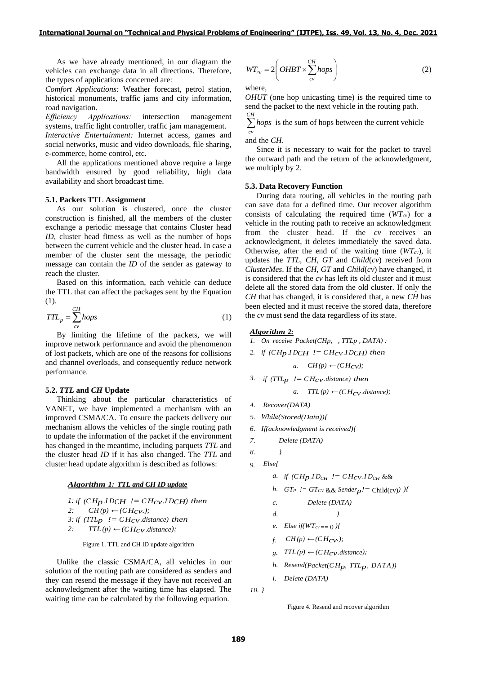As we have already mentioned, in our diagram the vehicles can exchange data in all directions. Therefore, the types of applications concerned are:

*Comfort Applications:* Weather forecast, petrol station, historical monuments, traffic jams and city information, road navigation.

*Efficiency Applications:* intersection management systems, traffic light controller, traffic jam management.

*Interactive Entertainment:* Internet access, games and social networks, music and video downloads, file sharing, e-commerce, home control, etc.

All the applications mentioned above require a large bandwidth ensured by good reliability, high data availability and short broadcast time.

## **5.1. Packets TTL Assignment**

As our solution is clustered, once the cluster construction is finished, all the members of the cluster exchange a periodic message that contains Cluster head *ID*, cluster head fitness as well as the number of hops between the current vehicle and the cluster head. In case a member of the cluster sent the message, the periodic message can contain the *ID* of the sender as gateway to reach the cluster.

Based on this information, each vehicle can deduce the TTL that can affect the packages sent by the Equation (1).

$$
TTL_p = \sum_{cv}^{CH} hops \tag{1}
$$

By limiting the lifetime of the packets, we will improve network performance and avoid the phenomenon of lost packets, which are one of the reasons for collisions and channel overloads, and consequently reduce network performance.

### **5.2.** *TTL* **and** *CH* **Update**

Thinking about the particular characteristics of VANET, we have implemented a mechanism with an improved CSMA/CA. To ensure the packets delivery our mechanism allows the vehicles of the single routing path to update the information of the packet if the environment has changed in the meantime, including parquets *TTL* and the cluster head *ID* if it has also changed. The *TTL* and cluster head update algorithm is described as follows:

#### *Algorithm 1: TTL and CH ID update*

1: if 
$$
(CH_P. IDCH \cdot ! = CH_{CV}. IDCH)
$$
 then  
\n2:  $CH(p) \leftarrow (CH_{CV.})$ ;  
\n3: if  $(TTL_P \cdot ! = CH_{CV.} distance)$  then  
\n2:  $TTL(p) \leftarrow (CH_{CV.} distance)$ ;

Figure 1. TTL and CH ID update algorithm

Unlike the classic CSMA/CA, all vehicles in our solution of the routing path are considered as senders and they can resend the message if they have not received an acknowledgment after the waiting time has elapsed. The waiting time can be calculated by the following equation.

$$
WT_{cv} = 2\left(OHBT \times \sum_{cv}^{CH}hops\right)
$$
 (2)

where,

*OHUT* (one hop unicasting time) is the required time to send the packet to the next vehicle in the routing path.

 $\sum$  *hops* is the sum of hops between the current vehicle *cv*

and the *CH*.

Since it is necessary to wait for the packet to travel the outward path and the return of the acknowledgment, we multiply by 2.

### **5.3. Data Recovery Function**

During data routing, all vehicles in the routing path can save data for a defined time. Our recover algorithm consists of calculating the required time (*WTcv*) for a vehicle in the routing path to receive an acknowledgment from the cluster head. If the *cv* receives an acknowledgment, it deletes immediately the saved data. Otherwise, after the end of the waiting time (*WTcv*), it updates the *TTL*, *CH*, *GT* and *Child*(*cv*) received from *ClusterMes*. If the *CH*, *GT* and *Child*(*cv*) have changed, it is considered that the *cv* has left its old cluster and it must delete all the stored data from the old cluster. If only the *CH* that has changed, it is considered that, a new *CH* has been elected and it must receive the stored data, therefore the *cv* must send the data regardless of its state.

## *Algorithm 2:*

- *1. On receive Packet(CHp, , TTLp , DATA) :*
- 2. *if*  $(CH<sub>D</sub>.ID<sub>CH</sub> := CH<sub>CV</sub>.ID<sub>CH</sub>$  *then*

$$
a. \quad CH(p) \leftarrow (CH_{CV});
$$

*3. if*  $(TTL_p$   $!=$   $CH_{CV}.distance)$  *then* 

*a.*  $TTL(p) \leftarrow (CH_{CV}.distance);$ 

- *4. Recover(DATA)*
- *5. While(Stored(Data)){*
- *6. If(acknowledgment is received){*
- *7. Delete (DATA)*
- *8. }*
- *9. Else{*
	- *a. if*  $(CH_D.ID_{CH}$   $!= CH_{CV}ID_{CH}$ &&

b. 
$$
GT_P
$$
  $!= GT_{CV} && Sender_p!= Child(cv))$ 

*c. Delete (DATA)*

- *d. }*
- *e. Else if*( $WT_{cv} == 0$ )*{*
- *f.*  $CH(p)$  ←  $(CH_{CV}$ .
- *g.*  $TTL(p) \leftarrow (CH_{CV}.distance);$
- *h.*  $Resend(Packet(CH_D, TTL_D, DATA)$
- *i. Delete (DATA)*

```
10. }
```
Figure 4. Resend and recover algorithm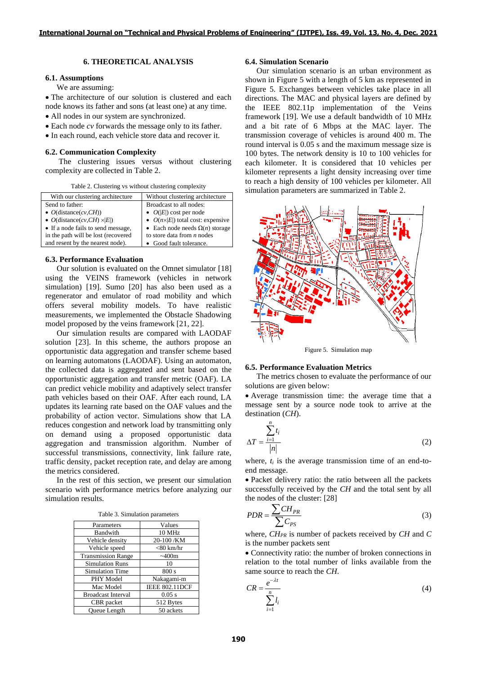## **6. THEORETICAL ANALYSIS**

## **6.1. Assumptions**

We are assuming:

• The architecture of our solution is clustered and each node knows its father and sons (at least one) at any time.

- All nodes in our system are synchronized.
- Each node *cv* forwards the message only to its father.
- In each round, each vehicle store data and recover it.

#### **6.2. Communication Complexity**

The clustering issues versus without clustering complexity are collected in Table 2.

Table 2. Clustering vs without clustering complexity

| With our clustering architecture    | Without clustering architecture           |  |
|-------------------------------------|-------------------------------------------|--|
| Send to father:                     | Broadcast to all nodes:                   |  |
| • $O(distance(cv, CH))$             | • $O( E )$ cost per node                  |  |
| • $O(distance(cv, CH) \times  E )$  | • $O(n \times  E )$ total cost: expensive |  |
| • If a node fails to send message,  | • Each node needs $\Omega(n)$ storage     |  |
| in the path will be lost (recovered | to store data from $n$ nodes              |  |
| and resent by the nearest node).    | • Good fault tolerance.                   |  |

# **6.3. Performance Evaluation**

Our solution is evaluated on the Omnet simulator [18] using the VEINS framework (vehicles in network simulation) [19]. Sumo [20] has also been used as a regenerator and emulator of road mobility and which offers several mobility models. To have realistic measurements, we implemented the Obstacle Shadowing model proposed by the veins framework [21, 22].

Our simulation results are compared with LAODAF solution [23]. In this scheme, the authors propose an opportunistic data aggregation and transfer scheme based on learning automatons (LAODAF). Using an automaton, the collected data is aggregated and sent based on the opportunistic aggregation and transfer metric (OAF). LA can predict vehicle mobility and adaptively select transfer path vehicles based on their OAF. After each round, LA updates its learning rate based on the OAF values and the probability of action vector. Simulations show that LA reduces congestion and network load by transmitting only on demand using a proposed opportunistic data aggregation and transmission algorithm. Number of successful transmissions, connectivity, link failure rate, traffic density, packet reception rate, and delay are among the metrics considered.

In the rest of this section, we present our simulation scenario with performance metrics before analyzing our simulation results.

|  | Table 3. Simulation parameters |  |
|--|--------------------------------|--|
|--|--------------------------------|--|

| Parameters                | Values                |
|---------------------------|-----------------------|
| Bandwith                  | 10 MHz                |
| Vehicle density           | 20-100 /KM            |
| Vehicle speed             | $<$ 80 km/hr          |
| <b>Transmission Range</b> | ~100m                 |
| <b>Simulation Runs</b>    | 10                    |
| <b>Simulation Time</b>    | 800 s                 |
| PHY Model                 | Nakagami-m            |
| Mac Model                 | <b>IEEE 802.11DCF</b> |
| <b>Broadcast Interval</b> | $0.05$ s              |
| CBR packet                | 512 Bytes             |
| <b>Oueue</b> Length       | 50 ackets             |

## **6.4. Simulation Scenario**

Our simulation scenario is an urban environment as shown in Figure 5 with a length of 5 km as represented in Figure 5. Exchanges between vehicles take place in all directions. The MAC and physical layers are defined by the IEEE 802.11p implementation of the Veins framework [19]. We use a default bandwidth of 10 MHz and a bit rate of 6 Mbps at the MAC layer. The transmission coverage of vehicles is around 400 m. The round interval is 0.05 s and the maximum message size is 100 bytes. The network density is 10 to 100 vehicles for each kilometer. It is considered that 10 vehicles per kilometer represents a light density increasing over time to reach a high density of 100 vehicles per kilometer. All simulation parameters are summarized in Table 2.



Figure 5. Simulation map

### **6.5. Performance Evaluation Metrics**

The metrics chosen to evaluate the performance of our solutions are given below:

• Average transmission time: the average time that a message sent by a source node took to arrive at the destination (*CH*).

$$
\Delta T = \frac{\sum_{i=1}^{n} t_i}{|n|} \tag{2}
$$

where,  $t_i$  is the average transmission time of an end-toend message.

• Packet delivery ratio: the ratio between all the packets successfully received by the *CH* and the total sent by all the nodes of the cluster: [28]

$$
PDR = \frac{\sum CH_{PR}}{\sum C_{PS}}\tag{3}
$$

where, *CHPR* is number of packets received by *CH* and *C* is the number packets sent

• Connectivity ratio: the number of broken connections in relation to the total number of links available from the same source to reach the *CH*.

$$
CR = \frac{e^{-\lambda t}}{\sum_{i=1}^{n} l_i}
$$
 (4)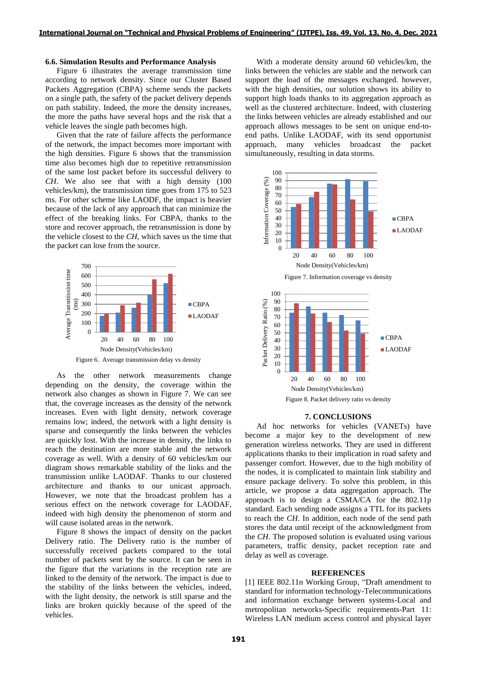## **6.6. Simulation Results and Performance Analysis**

Figure 6 illustrates the average transmission time according to network density. Since our Cluster Based Packets Aggregation (CBPA) scheme sends the packets on a single path, the safety of the packet delivery depends on path stability. Indeed, the more the density increases, the more the paths have several hops and the risk that a vehicle leaves the single path becomes high.

Given that the rate of failure affects the performance of the network, the impact becomes more important with the high densities. Figure 6 shows that the transmission time also becomes high due to repetitive retransmission of the same lost packet before its successful delivery to *CH*. We also see that with a high density (100 vehicles/km), the transmission time goes from 175 to 523 ms. For other scheme like LAODF, the impact is heavier because of the lack of any approach that can minimize the effect of the breaking links. For CBPA, thanks to the store and recover approach, the retransmission is done by the vehicle closest to the *CH*, which saves us the time that the packet can lose from the source.



As the other network measurements change depending on the density, the coverage within the network also changes as shown in Figure 7. We can see that, the coverage increases as the density of the network increases. Even with light density, network coverage remains low; indeed, the network with a light density is sparse and consequently the links between the vehicles are quickly lost. With the increase in density, the links to reach the destination are more stable and the network coverage as well. With a density of 60 vehicles/km our diagram shows remarkable stability of the links and the transmission unlike LAODAF. Thanks to our clustered architecture and thanks to our unicast approach. However, we note that the broadcast problem has a serious effect on the network coverage for LAODAF, indeed with high density the phenomenon of storm and will cause isolated areas in the network.

Figure 8 shows the impact of density on the packet Delivery ratio. The Delivery ratio is the number of successfully received packets compared to the total number of packets sent by the source. It can be seen in the figure that the variations in the reception rate are linked to the density of the network. The impact is due to the stability of the links between the vehicles, indeed, with the light density, the network is still sparse and the links are broken quickly because of the speed of the vehicles.

With a moderate density around 60 vehicles/km, the links between the vehicles are stable and the network can support the load of the messages exchanged. however, with the high densities, our solution shows its ability to support high loads thanks to its aggregation approach as well as the clustered architecture. Indeed, with clustering the links between vehicles are already established and our approach allows messages to be sent on unique end-toend paths. Unlike LAODAF, with its send opportunist approach, many vehicles broadcast the packet simultaneously, resulting in data storms.





#### **7. CONCLUSIONS**

Ad hoc networks for vehicles (VANETs) have become a major key to the development of new generation wireless networks. They are used in different applications thanks to their implication in road safety and passenger comfort. However, due to the high mobility of the nodes, it is complicated to maintain link stability and ensure package delivery. To solve this problem, in this article, we propose a data aggregation approach. The approach is to design a CSMA/CA for the 802.11p standard. Each sending node assigns a TTL for its packets to reach the *CH*. In addition, each node of the send path stores the data until receipt of the acknowledgment from the *CH*. The proposed solution is evaluated using various parameters, traffic density, packet reception rate and delay as well as coverage.

#### **REFERENCES**

[1] IEEE 802.11n Working Group, "Draft amendment to standard for information technology-Telecommunications and information exchange between systems-Local and metropolitan networks-Specific requirements-Part 11: Wireless LAN medium access control and physical layer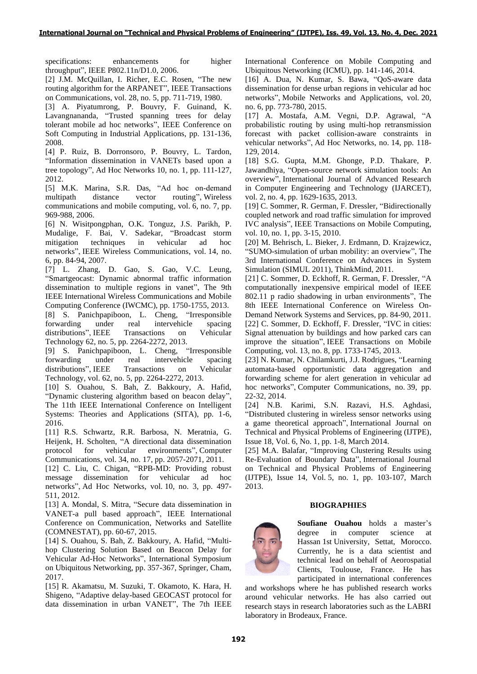specifications: enhancements for higher throughput", IEEE P802.11n/D1.0, 2006.

[2] J.M. McQuillan, I. Richer, E.C. Rosen, "The new routing algorithm for the ARPANET", IEEE Transactions on Communications, vol. 28, no. 5, pp. 711-719, 1980.

[3] A. Piyatumrong, P. Bouvry, F. Guinand, K. Lavangnananda, "Trusted spanning trees for delay tolerant mobile ad hoc networks", IEEE Conference on Soft Computing in Industrial Applications, pp. 131-136, 2008.

[4] P. Ruiz, B. Dorronsoro, P. Bouvry, L. Tardon, "Information dissemination in VANETs based upon a tree topology", Ad Hoc Networks 10, no. 1, pp. 111-127, 2012.

[5] M.K. Marina, S.R. Das, "Ad hoc on‐demand multipath distance vector routing", Wireless communications and mobile computing, vol. 6, no. 7, pp. 969-988, 2006.

[6] N. Wisitpongphan, O.K. Tonguz, J.S. Parikh, P. Mudalige, F. Bai, V. Sadekar, "Broadcast storm mitigation techniques in vehicular ad hoc networks", IEEE Wireless Communications, vol. 14, no. 6, pp. 84-94, 2007.

[7] L. Zhang, D. Gao, S. Gao, V.C. Leung, "Smartgeocast: Dynamic abnormal traffic information dissemination to multiple regions in vanet", The 9th IEEE International Wireless Communications and Mobile Computing Conference (IWCMC), pp. 1750-1755, 2013.

[8] S. Panichpapiboon, L. Cheng, "Irresponsible forwarding under real intervehicle spacing distributions", IEEE Transactions on Vehicular Technology 62, no. 5, pp. 2264-2272, 2013.

[9] S. Panichpapiboon, L. Cheng, "Irresponsible forwarding under real intervehicle spacing distributions", IEEE Transactions on Vehicular Technology, vol. 62, no. 5, pp. 2264-2272, 2013.

[10] S. Ouahou, S. Bah, Z. Bakkoury, A. Hafid, "Dynamic clustering algorithm based on beacon delay", The 11th IEEE International Conference on Intelligent Systems: Theories and Applications (SITA), pp. 1-6, 2016.

[11] R.S. Schwartz, R.R. Barbosa, N. Meratnia, G. Heijenk, H. Scholten, "A directional data dissemination protocol for vehicular environments", Computer Communications, vol. 34, no. 17, pp. 2057-2071, 2011.

[12] C. Liu, C. Chigan, "RPB-MD: Providing robust message dissemination for vehicular ad hoc networks", Ad Hoc Networks, vol. 10, no. 3, pp. 497- 511, 2012.

[13] A. Mondal, S. Mitra, "Secure data dissemination in VANET-a pull based approach", IEEE International Conference on Communication, Networks and Satellite (COMNESTAT), pp. 60-67, 2015.

[14] S. Ouahou, S. Bah, Z. Bakkoury, A. Hafid, "Multihop Clustering Solution Based on Beacon Delay for Vehicular Ad-Hoc Networks", International Symposium on Ubiquitous Networking, pp. 357-367, Springer, Cham, 2017.

[15] R. Akamatsu, M. Suzuki, T. Okamoto, K. Hara, H. Shigeno, "Adaptive delay-based GEOCAST protocol for data dissemination in urban VANET", The 7th IEEE

International Conference on Mobile Computing and Ubiquitous Networking (ICMU), pp. 141-146, 2014.

[16] A. Dua, N. Kumar, S. Bawa, "QoS-aware data dissemination for dense urban regions in vehicular ad hoc networks", Mobile Networks and Applications, vol. 20, no. 6, pp. 773-780, 2015.

[17] A. Mostafa, A.M. Vegni, D.P. Agrawal, "A probabilistic routing by using multi-hop retransmission forecast with packet collision-aware constraints in vehicular networks", Ad Hoc Networks, no. 14, pp. 118- 129, 2014.

[18] S.G. Gupta, M.M. Ghonge, P.D. Thakare, P. Jawandhiya, "Open-source network simulation tools: An overview", International Journal of Advanced Research in Computer Engineering and Technology (IJARCET), vol. 2, no. 4, pp. 1629-1635, 2013.

[19] C. Sommer, R. German, F. Dressler, "Bidirectionally coupled network and road traffic simulation for improved IVC analysis", IEEE Transactions on Mobile Computing, vol. 10, no. 1, pp. 3-15, 2010.

[20] M. Behrisch, L. Bieker, J. Erdmann, D. Krajzewicz, "SUMO-simulation of urban mobility: an overview", The 3rd International Conference on Advances in System Simulation (SIMUL 2011), ThinkMind, 2011.

[21] C. Sommer, D. Eckhoff, R. German, F. Dressler, "A computationally inexpensive empirical model of IEEE 802.11 p radio shadowing in urban environments", The 8th IEEE International Conference on Wireless On-Demand Network Systems and Services, pp. 84-90, 2011. [22] C. Sommer, D. Eckhoff, F. Dressler, "IVC in cities: Signal attenuation by buildings and how parked cars can improve the situation", IEEE Transactions on Mobile Computing, vol. 13, no. 8, pp. 1733-1745, 2013.

[23] N. Kumar, N. Chilamkurti, J.J. Rodrigues, "Learning automata-based opportunistic data aggregation and forwarding scheme for alert generation in vehicular ad hoc networks", Computer Communications, no. 39, pp. 22-32, 2014.

[24] N.B. Karimi, S.N. Razavi, H.S. Aghdasi, "Distributed clustering in wireless sensor networks using a game theoretical approach", International Journal on Technical and Physical Problems of Engineering (IJTPE), Issue 18, Vol. 6, No. 1, pp. 1-8, March 2014.

[25] M.A. Balafar, "Improving Clustering Results using Re-Evaluation of Boundary Data", International Journal on Technical and Physical Problems of Engineering (IJTPE), Issue 14, Vol. 5, no. 1, pp. 103-107, March 2013.

# **BIOGRAPHIES**



**Soufiane Ouahou** holds a master's degree in computer science at Hassan 1st University, Settat, Morocco. Currently, he is a data scientist and technical lead on behalf of Aeorospatial Clients, Toulouse, France. He has participated in international conferences

and workshops where he has published research works around vehicular networks. He has also carried out research stays in research laboratories such as the LABRI laboratory in Brodeaux, France.